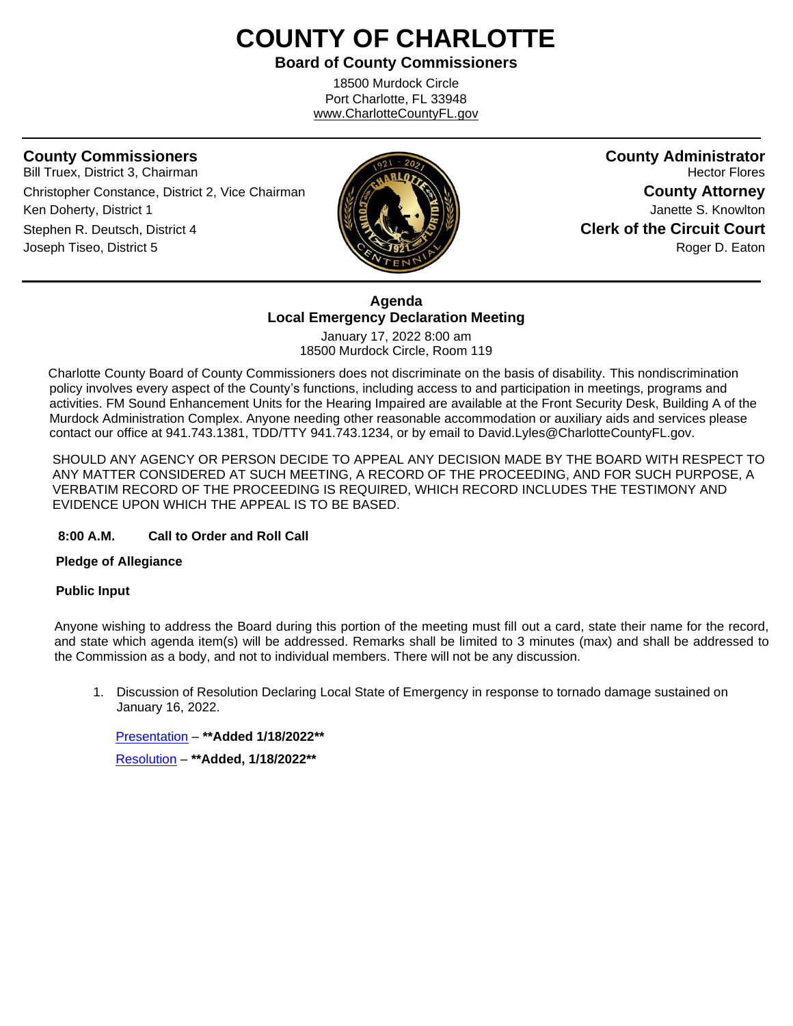# **COUNTY OF CHARLOTTE**

**Board of County Commissioners**

18500 Murdock Circle Port Charlotte, FL 33948 www.CharlotteCountyFL.gov

ֺֺ

Bill Truex, District 3, Chairman **Hector Flores Hector Flores Hector Flores Christopher Constance, District 2, Vice Chairman <b>County Attorney County Attorney** Ken Doherty, District 1 **Janette S. Knowlton Janette S. Knowlton** Stephen R. Deutsch, District 4 **Clerk of the Circuit Court** Joseph Tiseo, District 5 **Roger D. Eaton** Roger D. Eaton



**County Commissioners County Administrator**

### **Agenda Local Emergency Declaration Meeting**

January 17, 2022 8:00 am 18500 Murdock Circle, Room 119

 Charlotte County Board of County Commissioners does not discriminate on the basis of disability. This nondiscrimination policy involves every aspect of the County's functions, including access to and participation in meetings, programs and activities. FM Sound Enhancement Units for the Hearing Impaired are available at the Front Security Desk, Building A of the Murdock Administration Complex. Anyone needing other reasonable accommodation or auxiliary aids and services please contact our office at 941.743.1381, TDD/TTY 941.743.1234, or by email to David.Lyles@CharlotteCountyFL.gov.

SHOULD ANY AGENCY OR PERSON DECIDE TO APPEAL ANY DECISION MADE BY THE BOARD WITH RESPECT TO ANY MATTER CONSIDERED AT SUCH MEETING, A RECORD OF THE PROCEEDING, AND FOR SUCH PURPOSE, A VERBATIM RECORD OF THE PROCEEDING IS REQUIRED, WHICH RECORD INCLUDES THE TESTIMONY AND EVIDENCE UPON WHICH THE APPEAL IS TO BE BASED.

#### **8:00 A.M. Call to Order and Roll Call**

#### **Pledge of Allegiance**

#### **Public Input**

Anyone wishing to address the Board during this portion of the meeting must fill out a card, state their name for the record, and state which agenda item(s) will be addressed. Remarks shall be limited to 3 minutes (max) and shall be addressed to the Commission as a body, and not to individual members. There will not be any discussion.

1. Discussion of Resolution Declaring Local State of Emergency in response to tornado damage sustained on January 16, 2022.

[Presentation](https://data.charlottecountyfl.gov/agenda/20220117/1.pdf) – **\*\*Added 1/18/2022\*\*** [Resolution](https://data.charlottecountyfl.gov/agenda/20220117/2.pdf) – **\*\*Added, 1/18/2022\*\***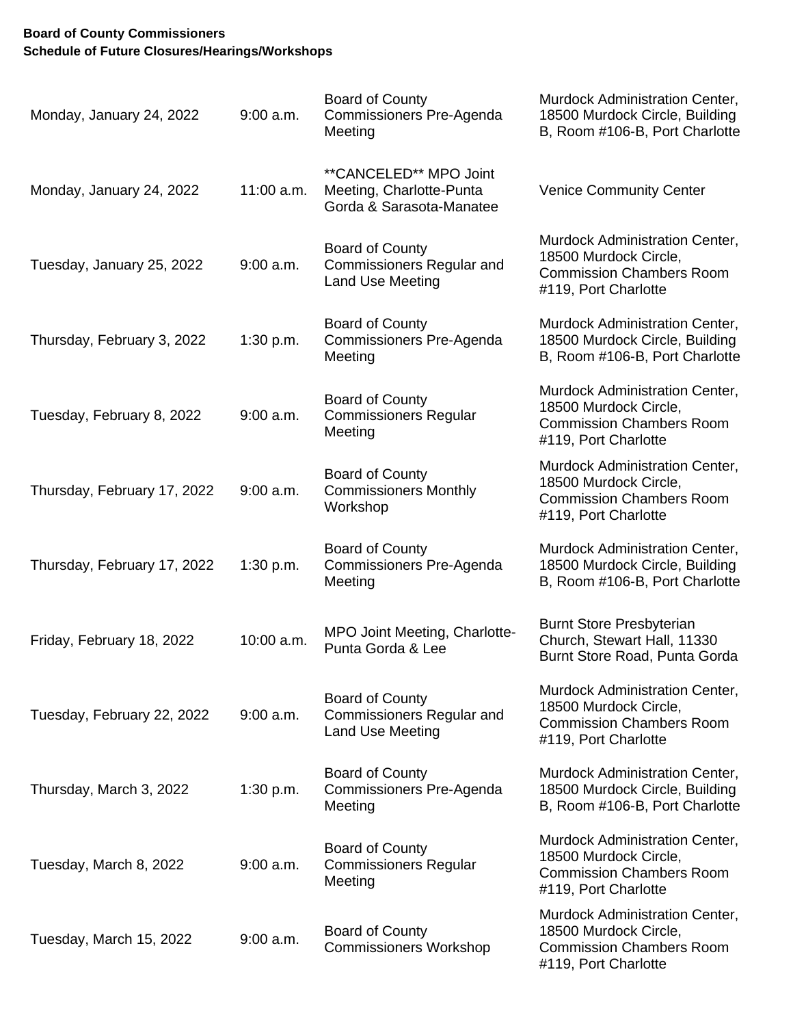## **Board of County Commissioners Schedule of Future Closures/Hearings/Workshops**

| Monday, January 24, 2022    | $9:00$ a.m. | <b>Board of County</b><br><b>Commissioners Pre-Agenda</b><br>Meeting           | Murdock Administration Center,<br>18500 Murdock Circle, Building<br>B, Room #106-B, Port Charlotte                 |
|-----------------------------|-------------|--------------------------------------------------------------------------------|--------------------------------------------------------------------------------------------------------------------|
| Monday, January 24, 2022    | 11:00 a.m.  | **CANCELED** MPO Joint<br>Meeting, Charlotte-Punta<br>Gorda & Sarasota-Manatee | <b>Venice Community Center</b>                                                                                     |
| Tuesday, January 25, 2022   | $9:00$ a.m. | Board of County<br><b>Commissioners Regular and</b><br>Land Use Meeting        | Murdock Administration Center,<br>18500 Murdock Circle,<br><b>Commission Chambers Room</b><br>#119, Port Charlotte |
| Thursday, February 3, 2022  | 1:30 p.m.   | Board of County<br>Commissioners Pre-Agenda<br>Meeting                         | Murdock Administration Center,<br>18500 Murdock Circle, Building<br>B, Room #106-B, Port Charlotte                 |
| Tuesday, February 8, 2022   | $9:00$ a.m. | <b>Board of County</b><br><b>Commissioners Regular</b><br>Meeting              | Murdock Administration Center,<br>18500 Murdock Circle,<br><b>Commission Chambers Room</b><br>#119, Port Charlotte |
| Thursday, February 17, 2022 | $9:00$ a.m. | <b>Board of County</b><br><b>Commissioners Monthly</b><br>Workshop             | Murdock Administration Center,<br>18500 Murdock Circle,<br><b>Commission Chambers Room</b><br>#119, Port Charlotte |
| Thursday, February 17, 2022 | 1:30 p.m.   | <b>Board of County</b><br>Commissioners Pre-Agenda<br>Meeting                  | Murdock Administration Center,<br>18500 Murdock Circle, Building<br>B, Room #106-B, Port Charlotte                 |
| Friday, February 18, 2022   | 10:00 a.m.  | MPO Joint Meeting, Charlotte-<br>Punta Gorda & Lee                             | <b>Burnt Store Presbyterian</b><br>Church, Stewart Hall, 11330<br>Burnt Store Road, Punta Gorda                    |
| Tuesday, February 22, 2022  | $9:00$ a.m. | <b>Board of County</b><br><b>Commissioners Regular and</b><br>Land Use Meeting | Murdock Administration Center,<br>18500 Murdock Circle,<br><b>Commission Chambers Room</b><br>#119, Port Charlotte |
| Thursday, March 3, 2022     | 1:30 p.m.   | <b>Board of County</b><br>Commissioners Pre-Agenda<br>Meeting                  | Murdock Administration Center,<br>18500 Murdock Circle, Building<br>B, Room #106-B, Port Charlotte                 |
| Tuesday, March 8, 2022      | $9:00$ a.m. | <b>Board of County</b><br><b>Commissioners Regular</b><br>Meeting              | Murdock Administration Center,<br>18500 Murdock Circle,<br><b>Commission Chambers Room</b><br>#119, Port Charlotte |
| Tuesday, March 15, 2022     | $9:00$ a.m. | <b>Board of County</b><br><b>Commissioners Workshop</b>                        | Murdock Administration Center,<br>18500 Murdock Circle,<br><b>Commission Chambers Room</b><br>#119, Port Charlotte |